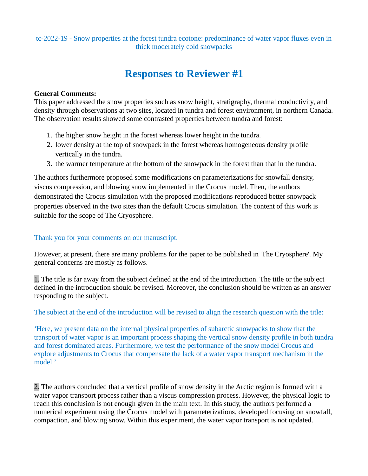tc-2022-19 - Snow properties at the forest tundra ecotone: predominance of water vapor fluxes even in thick moderately cold snowpacks

# **Responses to Reviewer #1**

#### **General Comments:**

This paper addressed the snow properties such as snow height, stratigraphy, thermal conductivity, and density through observations at two sites, located in tundra and forest environment, in northern Canada. The observation results showed some contrasted properties between tundra and forest:

- 1. the higher snow height in the forest whereas lower height in the tundra.
- 2. lower density at the top of snowpack in the forest whereas homogeneous density profile vertically in the tundra.
- 3. the warmer temperature at the bottom of the snowpack in the forest than that in the tundra.

The authors furthermore proposed some modifications on parameterizations for snowfall density, viscus compression, and blowing snow implemented in the Crocus model. Then, the authors demonstrated the Crocus simulation with the proposed modifications reproduced better snowpack properties observed in the two sites than the default Crocus simulation. The content of this work is suitable for the scope of The Cryosphere.

#### Thank you for your comments on our manuscript.

However, at present, there are many problems for the paper to be published in 'The Cryosphere'. My general concerns are mostly as follows.

1. The title is far away from the subject defined at the end of the introduction. The title or the subject defined in the introduction should be revised. Moreover, the conclusion should be written as an answer responding to the subject.

The subject at the end of the introduction will be revised to align the research question with the title:

'Here, we present data on the internal physical properties of subarctic snowpacks to show that the transport of water vapor is an important process shaping the vertical snow density profile in both tundra and forest dominated areas. Furthermore, we test the performance of the snow model Crocus and explore adjustments to Crocus that compensate the lack of a water vapor transport mechanism in the model.'

2. The authors concluded that a vertical profile of snow density in the Arctic region is formed with a water vapor transport process rather than a viscus compression process. However, the physical logic to reach this conclusion is not enough given in the main text. In this study, the authors performed a numerical experiment using the Crocus model with parameterizations, developed focusing on snowfall, compaction, and blowing snow. Within this experiment, the water vapor transport is not updated.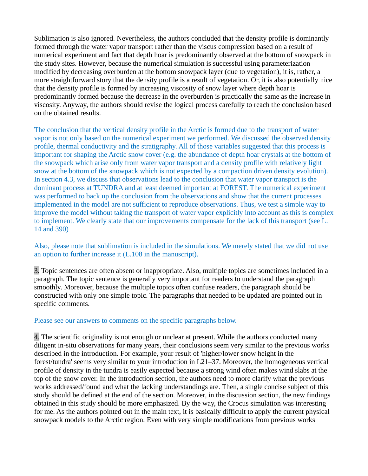Sublimation is also ignored. Nevertheless, the authors concluded that the density profile is dominantly formed through the water vapor transport rather than the viscus compression based on a result of numerical experiment and fact that depth hoar is predominantly observed at the bottom of snowpack in the study sites. However, because the numerical simulation is successful using parameterization modified by decreasing overburden at the bottom snowpack layer (due to vegetation), it is, rather, a more straightforward story that the density profile is a result of vegetation. Or, it is also potentially nice that the density profile is formed by increasing viscosity of snow layer where depth hoar is predominantly formed because the decrease in the overburden is practically the same as the increase in viscosity. Anyway, the authors should revise the logical process carefully to reach the conclusion based on the obtained results.

The conclusion that the vertical density profile in the Arctic is formed due to the transport of water vapor is not only based on the numerical experiment we performed. We discussed the observed density profile, thermal conductivity and the stratigraphy. All of those variables suggested that this process is important for shaping the Arctic snow cover (e.g. the abundance of depth hoar crystals at the bottom of the snowpack which arise only from water vapor transport and a density profile with relatively light snow at the bottom of the snowpack which is not expected by a compaction driven density evolution). In section 4.3, we discuss that observations lead to the conclusion that water vapor transport is the dominant process at TUNDRA and at least deemed important at FOREST. The numerical experiment was performed to back up the conclusion from the observations and show that the current processes implemented in the model are not sufficient to reproduce observations. Thus, we test a simple way to improve the model without taking the transport of water vapor explicitly into account as this is complex to implement. We clearly state that our improvements compensate for the lack of this transport (see L. 14 and 390)

Also, please note that sublimation is included in the simulations. We merely stated that we did not use an option to further increase it (L.108 in the manuscript).

3. Topic sentences are often absent or inappropriate. Also, multiple topics are sometimes included in a paragraph. The topic sentence is generally very important for readers to understand the paragraph smoothly. Moreover, because the multiple topics often confuse readers, the paragraph should be constructed with only one simple topic. The paragraphs that needed to be updated are pointed out in specific comments.

#### Please see our answers to comments on the specific paragraphs below.

4. The scientific originality is not enough or unclear at present. While the authors conducted many diligent in-situ observations for many years, their conclusions seem very similar to the previous works described in the introduction. For example, your result of 'higher/lower snow height in the forest/tundra' seems very similar to your introduction in L21–37. Moreover, the homogeneous vertical profile of density in the tundra is easily expected because a strong wind often makes wind slabs at the top of the snow cover. In the introduction section, the authors need to more clarify what the previous works addressed/found and what the lacking understandings are. Then, a single concise subject of this study should be defined at the end of the section. Moreover, in the discussion section, the new findings obtained in this study should be more emphasized. By the way, the Crocus simulation was interesting for me. As the authors pointed out in the main text, it is basically difficult to apply the current physical snowpack models to the Arctic region. Even with very simple modifications from previous works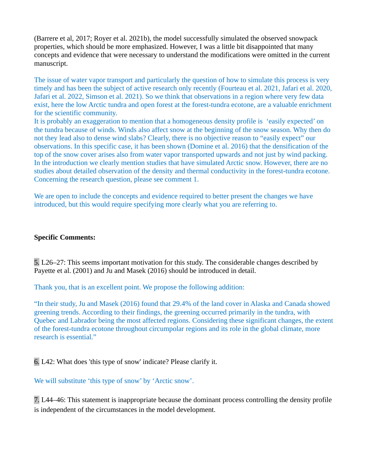(Barrere et al, 2017; Royer et al. 2021b), the model successfully simulated the observed snowpack properties, which should be more emphasized. However, I was a little bit disappointed that many concepts and evidence that were necessary to understand the modifications were omitted in the current manuscript.

The issue of water vapor transport and particularly the question of how to simulate this process is very timely and has been the subject of active research only recently (Fourteau et al. 2021, Jafari et al. 2020, Jafari et al. 2022, Simson et al. 2021). So we think that observations in a region where very few data exist, here the low Arctic tundra and open forest at the forest-tundra ecotone, are a valuable enrichment for the scientific community.

It is probably an exaggeration to mention that a homogeneous density profile is 'easily expected' on the tundra because of winds. Winds also affect snow at the beginning of the snow season. Why then do not they lead also to dense wind slabs? Clearly, there is no objective reason to "easily expect" our observations. In this specific case, it has been shown (Domine et al. 2016) that the densification of the top of the snow cover arises also from water vapor transported upwards and not just by wind packing. In the introduction we clearly mention studies that have simulated Arctic snow. However, there are no studies about detailed observation of the density and thermal conductivity in the forest-tundra ecotone. Concerning the research question, please see comment 1.

We are open to include the concepts and evidence required to better present the changes we have introduced, but this would require specifying more clearly what you are referring to.

#### **Specific Comments:**

5. L26–27: This seems important motivation for this study. The considerable changes described by Payette et al. (2001) and Ju and Masek (2016) should be introduced in detail.

Thank you, that is an excellent point. We propose the following addition:

"In their study, Ju and Masek (2016) found that 29.4% of the land cover in Alaska and Canada showed greening trends. According to their findings, the greening occurred primarily in the tundra, with Quebec and Labrador being the most affected regions. Considering these significant changes, the extent of the forest-tundra ecotone throughout circumpolar regions and its role in the global climate, more research is essential."

6. L42: What does 'this type of snow' indicate? Please clarify it.

We will substitute 'this type of snow' by 'Arctic snow'.

7. L44–46: This statement is inappropriate because the dominant process controlling the density profile is independent of the circumstances in the model development.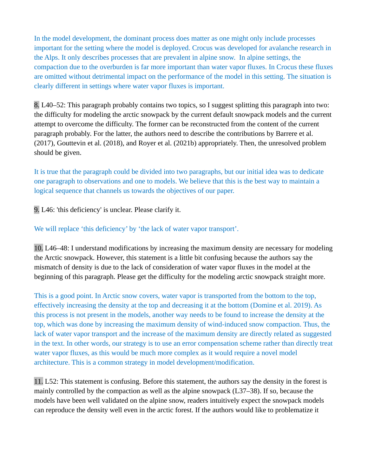In the model development, the dominant process does matter as one might only include processes important for the setting where the model is deployed. Crocus was developed for avalanche research in the Alps. It only describes processes that are prevalent in alpine snow. In alpine settings, the compaction due to the overburden is far more important than water vapor fluxes. In Crocus these fluxes are omitted without detrimental impact on the performance of the model in this setting. The situation is clearly different in settings where water vapor fluxes is important.

8. L40–52: This paragraph probably contains two topics, so I suggest splitting this paragraph into two: the difficulty for modeling the arctic snowpack by the current default snowpack models and the current attempt to overcome the difficulty. The former can be reconstructed from the content of the current paragraph probably. For the latter, the authors need to describe the contributions by Barrere et al. (2017), Gouttevin et al. (2018), and Royer et al. (2021b) appropriately. Then, the unresolved problem should be given.

It is true that the paragraph could be divided into two paragraphs, but our initial idea was to dedicate one paragraph to observations and one to models. We believe that this is the best way to maintain a logical sequence that channels us towards the objectives of our paper.

9. L46: 'this deficiency' is unclear. Please clarify it.

We will replace 'this deficiency' by 'the lack of water vapor transport'.

10. L46–48: I understand modifications by increasing the maximum density are necessary for modeling the Arctic snowpack. However, this statement is a little bit confusing because the authors say the mismatch of density is due to the lack of consideration of water vapor fluxes in the model at the beginning of this paragraph. Please get the difficulty for the modeling arctic snowpack straight more.

This is a good point. In Arctic snow covers, water vapor is transported from the bottom to the top, effectively increasing the density at the top and decreasing it at the bottom (Domine et al. 2019). As this process is not present in the models, another way needs to be found to increase the density at the top, which was done by increasing the maximum density of wind-induced snow compaction. Thus, the lack of water vapor transport and the increase of the maximum density are directly related as suggested in the text. In other words, our strategy is to use an error compensation scheme rather than directly treat water vapor fluxes, as this would be much more complex as it would require a novel model architecture. This is a common strategy in model development/modification.

11. L52: This statement is confusing. Before this statement, the authors say the density in the forest is mainly controlled by the compaction as well as the alpine snowpack (L37–38). If so, because the models have been well validated on the alpine snow, readers intuitively expect the snowpack models can reproduce the density well even in the arctic forest. If the authors would like to problematize it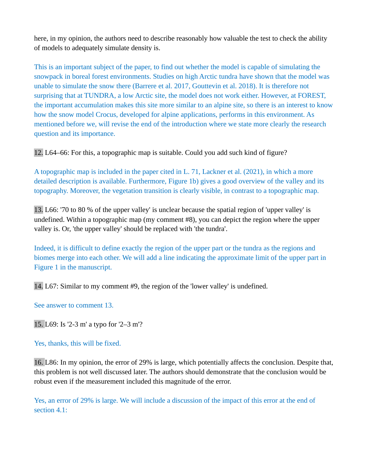here, in my opinion, the authors need to describe reasonably how valuable the test to check the ability of models to adequately simulate density is.

This is an important subject of the paper, to find out whether the model is capable of simulating the snowpack in boreal forest environments. Studies on high Arctic tundra have shown that the model was unable to simulate the snow there (Barrere et al. 2017, Gouttevin et al. 2018). It is therefore not surprising that at TUNDRA, a low Arctic site, the model does not work either. However, at FOREST, the important accumulation makes this site more similar to an alpine site, so there is an interest to know how the snow model Crocus, developed for alpine applications, performs in this environment. As mentioned before we, will revise the end of the introduction where we state more clearly the research question and its importance.

12. L64–66: For this, a topographic map is suitable. Could you add such kind of figure?

A topographic map is included in the paper cited in L. 71, Lackner et al. (2021), in which a more detailed description is available. Furthermore, Figure 1b) gives a good overview of the valley and its topography. Moreover, the vegetation transition is clearly visible, in contrast to a topographic map.

13. L66: '70 to 80 % of the upper valley' is unclear because the spatial region of 'upper valley' is undefined. Within a topographic map (my comment #8), you can depict the region where the upper valley is. Or, 'the upper valley' should be replaced with 'the tundra'.

Indeed, it is difficult to define exactly the region of the upper part or the tundra as the regions and biomes merge into each other. We will add a line indicating the approximate limit of the upper part in Figure 1 in the manuscript.

14. L67: Similar to my comment #9, the region of the 'lower valley' is undefined.

See answer to comment 13.

15. L69: Is '2-3 m' a typo for '2–3 m'?

Yes, thanks, this will be fixed.

16. L86: In my opinion, the error of 29% is large, which potentially affects the conclusion. Despite that, this problem is not well discussed later. The authors should demonstrate that the conclusion would be robust even if the measurement included this magnitude of the error.

Yes, an error of 29% is large. We will include a discussion of the impact of this error at the end of section 4.1: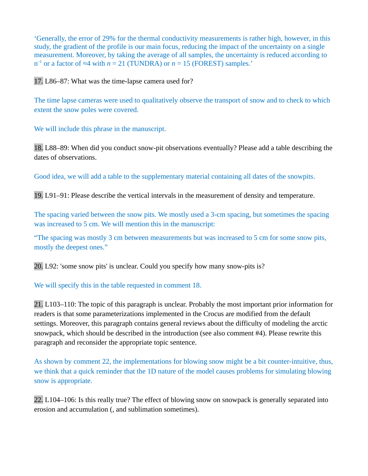'Generally, the error of 29% for the thermal conductivity measurements is rather high, however, in this study, the gradient of the profile is our main focus, reducing the impact of the uncertainty on a single measurement. Moreover, by taking the average of all samples, the uncertainty is reduced according to  $n^{-1}$  or a factor of ≈4 with  $n = 21$  (TUNDRA) or  $n = 15$  (FOREST) samples.'

17. L86–87: What was the time-lapse camera used for?

The time lapse cameras were used to qualitatively observe the transport of snow and to check to which extent the snow poles were covered.

We will include this phrase in the manuscript.

18. L88–89: When did you conduct snow-pit observations eventually? Please add a table describing the dates of observations.

Good idea, we will add a table to the supplementary material containing all dates of the snowpits.

19. L91–91: Please describe the vertical intervals in the measurement of density and temperature.

The spacing varied between the snow pits. We mostly used a 3-cm spacing, but sometimes the spacing was increased to 5 cm. We will mention this in the manuscript:

"The spacing was mostly 3 cm between measurements but was increased to 5 cm for some snow pits, mostly the deepest ones."

20. L92: 'some snow pits' is unclear. Could you specify how many snow-pits is?

We will specify this in the table requested in comment 18.

21. L103–110: The topic of this paragraph is unclear. Probably the most important prior information for readers is that some parameterizations implemented in the Crocus are modified from the default settings. Moreover, this paragraph contains general reviews about the difficulty of modeling the arctic snowpack, which should be described in the introduction (see also comment #4). Please rewrite this paragraph and reconsider the appropriate topic sentence.

As shown by comment 22, the implementations for blowing snow might be a bit counter-intuitive, thus, we think that a quick reminder that the 1D nature of the model causes problems for simulating blowing snow is appropriate.

22. L104–106: Is this really true? The effect of blowing snow on snowpack is generally separated into erosion and accumulation (, and sublimation sometimes).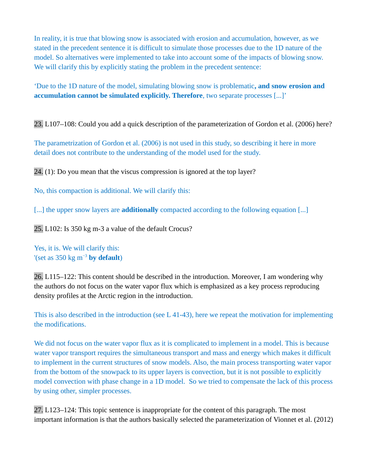In reality, it is true that blowing snow is associated with erosion and accumulation, however, as we stated in the precedent sentence it is difficult to simulate those processes due to the 1D nature of the model. So alternatives were implemented to take into account some of the impacts of blowing snow. We will clarify this by explicitly stating the problem in the precedent sentence:

'Due to the 1D nature of the model, simulating blowing snow is problematic**, and snow erosion and accumulation cannot be simulated explicitly. Therefore**, two separate processes [...]'

23. L107–108: Could you add a quick description of the parameterization of Gordon et al. (2006) here?

The parametrization of Gordon et al. (2006) is not used in this study, so describing it here in more detail does not contribute to the understanding of the model used for the study.

24. (1): Do you mean that the viscus compression is ignored at the top layer?

No, this compaction is additional. We will clarify this:

[...] the upper snow layers are **additionally** compacted according to the following equation [...]

25. L102: Is 350 kg m-3 a value of the default Crocus?

Yes, it is. We will clarify this: '(set as 350 kg m−3 **by default**)

26. L115–122: This content should be described in the introduction. Moreover, I am wondering why the authors do not focus on the water vapor flux which is emphasized as a key process reproducing density profiles at the Arctic region in the introduction.

This is also described in the introduction (see L 41-43), here we repeat the motivation for implementing the modifications.

We did not focus on the water vapor flux as it is complicated to implement in a model. This is because water vapor transport requires the simultaneous transport and mass and energy which makes it difficult to implement in the current structures of snow models. Also, the main process transporting water vapor from the bottom of the snowpack to its upper layers is convection, but it is not possible to explicitly model convection with phase change in a 1D model. So we tried to compensate the lack of this process by using other, simpler processes.

27. L123–124: This topic sentence is inappropriate for the content of this paragraph. The most important information is that the authors basically selected the parameterization of Vionnet et al. (2012)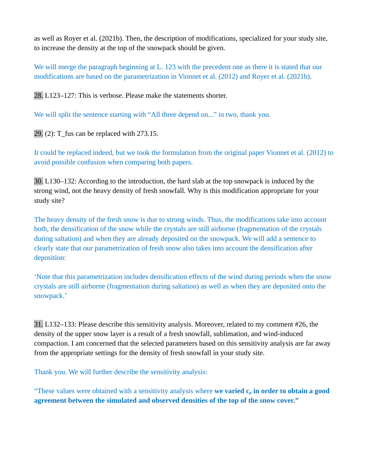as well as Royer et al. (2021b). Then, the description of modifications, specialized for your study site, to increase the density at the top of the snowpack should be given.

We will merge the paragraph beginning at L. 123 with the precedent one as there it is stated that our modifications are based on the parametrization in Vionnet et al. (2012) and Royer et al. (2021b).

28. L123–127: This is verbose. Please make the statements shorter.

We will split the sentence starting with "All three depend on..." in two, thank you.

29.  $(2)$ : T fus can be replaced with 273.15.

It could be replaced indeed, but we took the formulation from the original paper Vionnet et al. (2012) to avoid possible confusion when comparing both papers.

30. L130–132: According to the introduction, the hard slab at the top snowpack is induced by the strong wind, not the heavy density of fresh snowfall. Why is this modification appropriate for your study site?

The heavy density of the fresh snow is due to strong winds. Thus, the modifications take into account both, the densification of the snow while the crystals are still airborne (fragmentation of the crystals during saltation) and when they are already deposited on the snowpack. We will add a sentence to clearly state that our parametrization of fresh snow also takes into account the densification after deposition:

'Note that this parametrization includes densification effects of the wind during periods when the snow crystals are still airborne (fragmentation during saltation) as well as when they are deposited onto the snowpack.'

31. L132–133: Please describe this sensitivity analysis. Moreover, related to my comment #26, the density of the upper snow layer is a result of a fresh snowfall, sublimation, and wind-induced compaction. I am concerned that the selected parameters based on this sensitivity analysis are far away from the appropriate settings for the density of fresh snowfall in your study site.

Thank you. We will further describe the sensitivity analysis:

"These values were obtained with a sensitivity analysis where **we varied cρ in order to obtain a good agreement between the simulated and observed densities of the top of the snow cover."**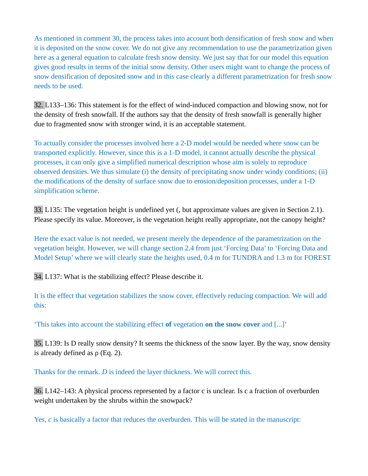As mentioned in comment 30, the process takes into account both densification of fresh snow and when it is deposited on the snow cover. We do not give any recommendation to use the parametrization given here as a general equation to calculate fresh snow density. We just say that for our model this equation gives good results in terms of the initial snow density. Other users might want to change the process of snow densification of deposited snow and in this case clearly a different parametrization for fresh snow needs to be used.

32. L133–136: This statement is for the effect of wind-induced compaction and blowing snow, not for the density of fresh snowfall. If the authors say that the density of fresh snowfall is generally higher due to fragmented snow with stronger wind, it is an acceptable statement.

To actually consider the processes involved here a 2-D model would be needed where snow can be transported explicitly. However, since this is a 1-D model, it cannot actually describe the physical processes, it can only give a simplified numerical description whose aim is solely to reproduce observed densities. We thus simulate (i) the density of precipitating snow under windy conditions; (ii) the modifications of the density of surface snow due to erosion/deposition processes, under a 1-D simplification scheme.

33. L135: The vegetation height is undefined yet (, but approximate values are given in Section 2.1). Please specify its value. Moreover, is the vegetation height really appropriate, not the canopy height?

Here the exact value is not needed, we present merely the dependence of the parametrization on the vegetation height. However, we will change section 2.4 from just 'Forcing Data' to 'Forcing Data and Model Setup' where we will clearly state the heights used, 0.4 m for TUNDRA and 1.3 m for FOREST

34. L137: What is the stabilizing effect? Please describe it.

It is the effect that vegetation stabilizes the snow cover, effectively reducing compaction. We will add this:

'This takes into account the stabilizing effect **of** vegetation **on the snow cover** and [...]'

35. L139: Is D really snow density? It seems the thickness of the snow layer. By the way, snow density is already defined as  $\rho$  (Eq. 2).

Thanks for the remark. *D* is indeed the layer thickness. We will correct this.

36. L142–143: A physical process represented by a factor c is unclear. Is c a fraction of overburden weight undertaken by the shrubs within the snowpack?

Yes, *c* is basically a factor that reduces the overburden. This will be stated in the manuscript: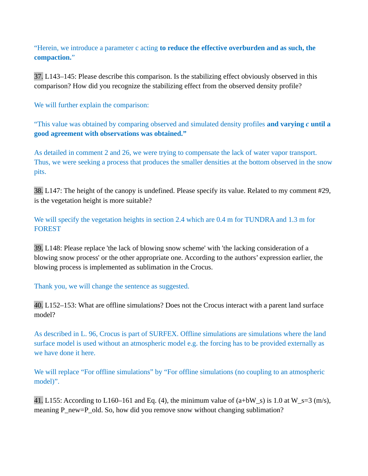"Herein, we introduce a parameter c acting **to reduce the effective overburden and as such, the compaction.**"

37. L143–145: Please describe this comparison. Is the stabilizing effect obviously observed in this comparison? How did you recognize the stabilizing effect from the observed density profile?

We will further explain the comparison:

"This value was obtained by comparing observed and simulated density profiles **and varying** *c* **until a good agreement with observations was obtained."**

As detailed in comment 2 and 26, we were trying to compensate the lack of water vapor transport. Thus, we were seeking a process that produces the smaller densities at the bottom observed in the snow pits.

38. L147: The height of the canopy is undefined. Please specify its value. Related to my comment #29, is the vegetation height is more suitable?

We will specify the vegetation heights in section 2.4 which are 0.4 m for TUNDRA and 1.3 m for FOREST

39. L148: Please replace 'the lack of blowing snow scheme' with 'the lacking consideration of a blowing snow process' or the other appropriate one. According to the authors' expression earlier, the blowing process is implemented as sublimation in the Crocus.

Thank you, we will change the sentence as suggested.

40. L152–153: What are offline simulations? Does not the Crocus interact with a parent land surface model?

As described in L. 96, Crocus is part of SURFEX. Offline simulations are simulations where the land surface model is used without an atmospheric model e.g. the forcing has to be provided externally as we have done it here.

We will replace "For offline simulations" by "For offline simulations (no coupling to an atmospheric model)".

41. L155: According to L160–161 and Eq. (4), the minimum value of  $(a+bW_s)$  is 1.0 at  $W_s=3$  (m/s), meaning P\_new=P\_old. So, how did you remove snow without changing sublimation?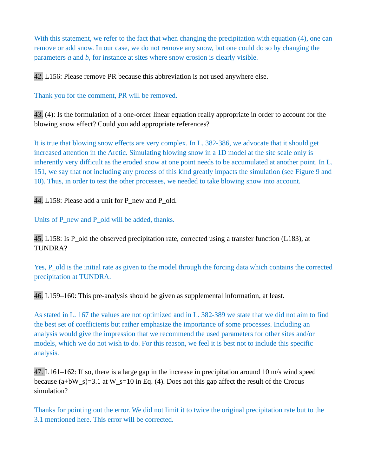With this statement, we refer to the fact that when changing the precipitation with equation (4), one can remove or add snow. In our case, we do not remove any snow, but one could do so by changing the parameters *a* and *b*, for instance at sites where snow erosion is clearly visible.

42. L156: Please remove PR because this abbreviation is not used anywhere else.

Thank you for the comment, PR will be removed.

43. (4): Is the formulation of a one-order linear equation really appropriate in order to account for the blowing snow effect? Could you add appropriate references?

It is true that blowing snow effects are very complex. In L. 382-386, we advocate that it should get increased attention in the Arctic. Simulating blowing snow in a 1D model at the site scale only is inherently very difficult as the eroded snow at one point needs to be accumulated at another point. In L. 151, we say that not including any process of this kind greatly impacts the simulation (see Figure 9 and 10). Thus, in order to test the other processes, we needed to take blowing snow into account.

44. L158: Please add a unit for P\_new and P\_old.

Units of P\_new and P\_old will be added, thanks.

45. L158: Is P\_old the observed precipitation rate, corrected using a transfer function (L183), at TUNDRA?

Yes, P\_old is the initial rate as given to the model through the forcing data which contains the corrected precipitation at TUNDRA.

46. L159–160: This pre-analysis should be given as supplemental information, at least.

As stated in L. 167 the values are not optimized and in L. 382-389 we state that we did not aim to find the best set of coefficients but rather emphasize the importance of some processes. Including an analysis would give the impression that we recommend the used parameters for other sites and/or models, which we do not wish to do. For this reason, we feel it is best not to include this specific analysis.

47. L161–162: If so, there is a large gap in the increase in precipitation around 10 m/s wind speed because (a+bW s)=3.1 at W s=10 in Eq. (4). Does not this gap affect the result of the Crocus simulation?

Thanks for pointing out the error. We did not limit it to twice the original precipitation rate but to the 3.1 mentioned here. This error will be corrected.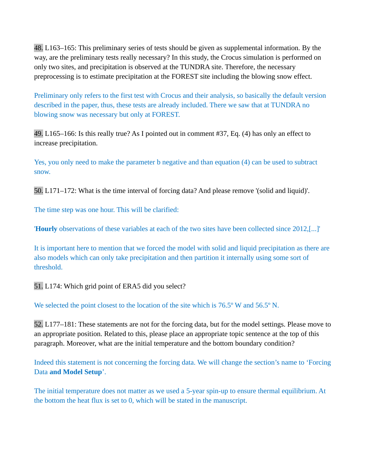48. L163–165: This preliminary series of tests should be given as supplemental information. By the way, are the preliminary tests really necessary? In this study, the Crocus simulation is performed on only two sites, and precipitation is observed at the TUNDRA site. Therefore, the necessary preprocessing is to estimate precipitation at the FOREST site including the blowing snow effect.

Preliminary only refers to the first test with Crocus and their analysis, so basically the default version described in the paper, thus, these tests are already included. There we saw that at TUNDRA no blowing snow was necessary but only at FOREST.

49. L165–166: Is this really true? As I pointed out in comment #37, Eq. (4) has only an effect to increase precipitation.

Yes, you only need to make the parameter b negative and than equation (4) can be used to subtract snow.

50. L171–172: What is the time interval of forcing data? And please remove '(solid and liquid)'.

The time step was one hour. This will be clarified:

'**Hourly** observations of these variables at each of the two sites have been collected since 2012,[...]'

It is important here to mention that we forced the model with solid and liquid precipitation as there are also models which can only take precipitation and then partition it internally using some sort of threshold.

51. L174: Which grid point of ERA5 did you select?

We selected the point closest to the location of the site which is 76.5° W and 56.5° N.

52. L177–181: These statements are not for the forcing data, but for the model settings. Please move to an appropriate position. Related to this, please place an appropriate topic sentence at the top of this paragraph. Moreover, what are the initial temperature and the bottom boundary condition?

Indeed this statement is not concerning the forcing data. We will change the section's name to 'Forcing Data **and Model Setup**'.

The initial temperature does not matter as we used a 5-year spin-up to ensure thermal equilibrium. At the bottom the heat flux is set to 0, which will be stated in the manuscript.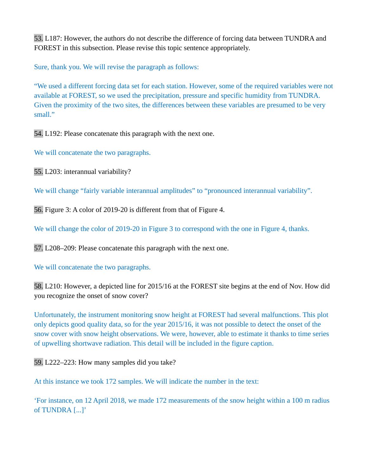53. L187: However, the authors do not describe the difference of forcing data between TUNDRA and FOREST in this subsection. Please revise this topic sentence appropriately.

Sure, thank you. We will revise the paragraph as follows:

"We used a different forcing data set for each station. However, some of the required variables were not available at FOREST, so we used the precipitation, pressure and specific humidity from TUNDRA. Given the proximity of the two sites, the differences between these variables are presumed to be very small."

54. L192: Please concatenate this paragraph with the next one.

We will concatenate the two paragraphs.

55. L203: interannual variability?

We will change "fairly variable interannual amplitudes" to "pronounced interannual variability".

56. Figure 3: A color of 2019-20 is different from that of Figure 4.

We will change the color of 2019-20 in Figure 3 to correspond with the one in Figure 4, thanks.

57. L208–209: Please concatenate this paragraph with the next one.

We will concatenate the two paragraphs.

58. L210: However, a depicted line for 2015/16 at the FOREST site begins at the end of Nov. How did you recognize the onset of snow cover?

Unfortunately, the instrument monitoring snow height at FOREST had several malfunctions. This plot only depicts good quality data, so for the year 2015/16, it was not possible to detect the onset of the snow cover with snow height observations. We were, however, able to estimate it thanks to time series of upwelling shortwave radiation. This detail will be included in the figure caption.

59. L222–223: How many samples did you take?

At this instance we took 172 samples. We will indicate the number in the text:

'For instance, on 12 April 2018, we made 172 measurements of the snow height within a 100 m radius of TUNDRA [...]'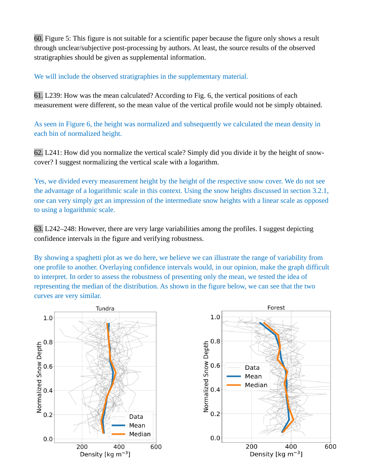60. Figure 5: This figure is not suitable for a scientific paper because the figure only shows a result through unclear/subjective post-processing by authors. At least, the source results of the observed stratigraphies should be given as supplemental information.

We will include the observed stratigraphies in the supplementary material.

61. L239: How was the mean calculated? According to Fig. 6, the vertical positions of each measurement were different, so the mean value of the vertical profile would not be simply obtained.

As seen in Figure 6, the height was normalized and subsequently we calculated the mean density in each bin of normalized height.

62. L241: How did you normalize the vertical scale? Simply did you divide it by the height of snowcover? I suggest normalizing the vertical scale with a logarithm.

Yes, we divided every measurement height by the height of the respective snow cover. We do not see the advantage of a logarithmic scale in this context. Using the snow heights discussed in section 3.2.1, one can very simply get an impression of the intermediate snow heights with a linear scale as opposed to using a logarithmic scale.

63. L242–248: However, there are very large variabilities among the profiles. I suggest depicting confidence intervals in the figure and verifying robustness.

By showing a spaghetti plot as we do here, we believe we can illustrate the range of variability from one profile to another. Overlaying confidence intervals would, in our opinion, make the graph difficult to interpret. In order to assess the robustness of presenting only the mean, we tested the idea of representing the median of the distribution. As shown in the figure below, we can see that the two curves are very similar.



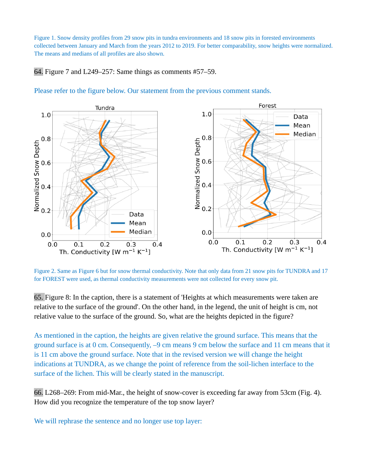Figure 1. Snow density profiles from 29 snow pits in tundra environments and 18 snow pits in forested environments collected between January and March from the years 2012 to 2019. For better comparability, snow heights were normalized. The means and medians of all profiles are also shown.

64. Figure 7 and L249–257: Same things as comments #57–59.



### Please refer to the figure below. Our statement from the previous comment stands.

Figure 2. Same as Figure 6 but for snow thermal conductivity. Note that only data from 21 snow pits for TUNDRA and 17 for FOREST were used, as thermal conductivity measurements were not collected for every snow pit.

65. Figure 8: In the caption, there is a statement of 'Heights at which measurements were taken are relative to the surface of the ground'. On the other hand, in the legend, the unit of height is cm, not relative value to the surface of the ground. So, what are the heights depicted in the figure?

As mentioned in the caption, the heights are given relative the ground surface. This means that the ground surface is at 0 cm. Consequently, –9 cm means 9 cm below the surface and 11 cm means that it is 11 cm above the ground surface. Note that in the revised version we will change the height indications at TUNDRA, as we change the point of reference from the soil-lichen interface to the surface of the lichen. This will be clearly stated in the manuscript.

66. L268–269: From mid-Mar., the height of snow-cover is exceeding far away from 53cm (Fig. 4). How did you recognize the temperature of the top snow layer?

We will rephrase the sentence and no longer use top layer: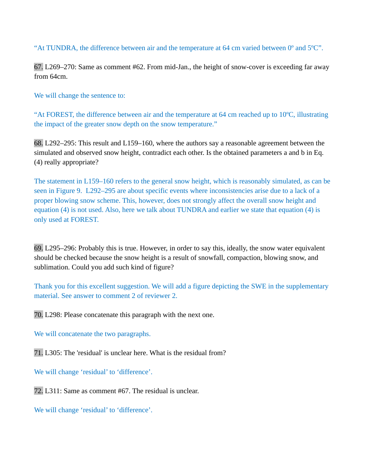"At TUNDRA, the difference between air and the temperature at 64 cm varied between 0º and 5ºC".

67. L269–270: Same as comment #62. From mid-Jan., the height of snow-cover is exceeding far away from 64cm.

We will change the sentence to:

"At FOREST, the difference between air and the temperature at 64 cm reached up to 10ºC, illustrating the impact of the greater snow depth on the snow temperature."

68. L292–295: This result and L159–160, where the authors say a reasonable agreement between the simulated and observed snow height, contradict each other. Is the obtained parameters a and b in Eq. (4) really appropriate?

The statement in L159–160 refers to the general snow height, which is reasonably simulated, as can be seen in Figure 9. L292–295 are about specific events where inconsistencies arise due to a lack of a proper blowing snow scheme. This, however, does not strongly affect the overall snow height and equation (4) is not used. Also, here we talk about TUNDRA and earlier we state that equation (4) is only used at FOREST.

69. L295–296: Probably this is true. However, in order to say this, ideally, the snow water equivalent should be checked because the snow height is a result of snowfall, compaction, blowing snow, and sublimation. Could you add such kind of figure?

Thank you for this excellent suggestion. We will add a figure depicting the SWE in the supplementary material. See answer to comment 2 of reviewer 2.

70. L298: Please concatenate this paragraph with the next one.

We will concatenate the two paragraphs.

71. L305: The 'residual' is unclear here. What is the residual from?

We will change 'residual' to 'difference'.

72. L311: Same as comment #67. The residual is unclear.

We will change 'residual' to 'difference'.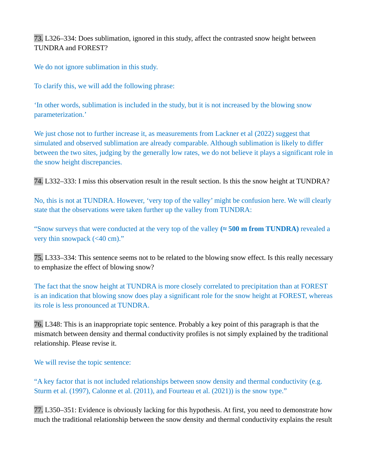73. L326–334: Does sublimation, ignored in this study, affect the contrasted snow height between TUNDRA and FOREST?

We do not ignore sublimation in this study.

To clarify this, we will add the following phrase:

'In other words, sublimation is included in the study, but it is not increased by the blowing snow parameterization.'

We just chose not to further increase it, as measurements from Lackner et al (2022) suggest that simulated and observed sublimation are already comparable. Although sublimation is likely to differ between the two sites, judging by the generally low rates, we do not believe it plays a significant role in the snow height discrepancies.

74. L332–333: I miss this observation result in the result section. Is this the snow height at TUNDRA?

No, this is not at TUNDRA. However, 'very top of the valley' might be confusion here. We will clearly state that the observations were taken further up the valley from TUNDRA:

"Snow surveys that were conducted at the very top of the valley **(≈ 500 m from TUNDRA)** revealed a very thin snowpack (<40 cm)."

75. L333–334: This sentence seems not to be related to the blowing snow effect. Is this really necessary to emphasize the effect of blowing snow?

The fact that the snow height at TUNDRA is more closely correlated to precipitation than at FOREST is an indication that blowing snow does play a significant role for the snow height at FOREST, whereas its role is less pronounced at TUNDRA.

76. L348: This is an inappropriate topic sentence. Probably a key point of this paragraph is that the mismatch between density and thermal conductivity profiles is not simply explained by the traditional relationship. Please revise it.

We will revise the topic sentence:

"A key factor that is not included relationships between snow density and thermal conductivity (e.g. Sturm et al. (1997), Calonne et al. (2011), and Fourteau et al. (2021)) is the snow type."

77. L350–351: Evidence is obviously lacking for this hypothesis. At first, you need to demonstrate how much the traditional relationship between the snow density and thermal conductivity explains the result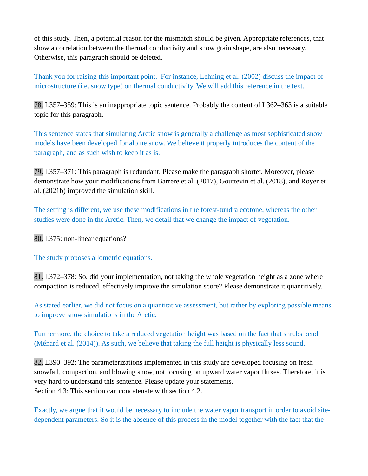of this study. Then, a potential reason for the mismatch should be given. Appropriate references, that show a correlation between the thermal conductivity and snow grain shape, are also necessary. Otherwise, this paragraph should be deleted.

Thank you for raising this important point. For instance, Lehning et al. (2002) discuss the impact of microstructure (i.e. snow type) on thermal conductivity. We will add this reference in the text.

78. L357–359: This is an inappropriate topic sentence. Probably the content of L362–363 is a suitable topic for this paragraph.

This sentence states that simulating Arctic snow is generally a challenge as most sophisticated snow models have been developed for alpine snow. We believe it properly introduces the content of the paragraph, and as such wish to keep it as is.

79. L357–371: This paragraph is redundant. Please make the paragraph shorter. Moreover, please demonstrate how your modifications from Barrere et al. (2017), Gouttevin et al. (2018), and Royer et al. (2021b) improved the simulation skill.

The setting is different, we use these modifications in the forest-tundra ecotone, whereas the other studies were done in the Arctic. Then, we detail that we change the impact of vegetation.

80. L375: non-linear equations?

The study proposes allometric equations.

81. L372–378: So, did your implementation, not taking the whole vegetation height as a zone where compaction is reduced, effectively improve the simulation score? Please demonstrate it quantitively.

As stated earlier, we did not focus on a quantitative assessment, but rather by exploring possible means to improve snow simulations in the Arctic.

Furthermore, the choice to take a reduced vegetation height was based on the fact that shrubs bend (Ménard et al. (2014)). As such, we believe that taking the full height is physically less sound.

82. L390–392: The parameterizations implemented in this study are developed focusing on fresh snowfall, compaction, and blowing snow, not focusing on upward water vapor fluxes. Therefore, it is very hard to understand this sentence. Please update your statements. Section 4.3: This section can concatenate with section 4.2.

Exactly, we argue that it would be necessary to include the water vapor transport in order to avoid sitedependent parameters. So it is the absence of this process in the model together with the fact that the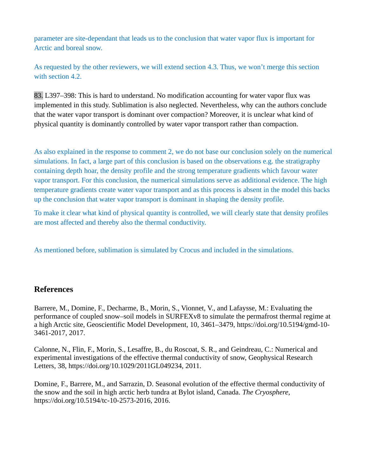parameter are site-dependant that leads us to the conclusion that water vapor flux is important for Arctic and boreal snow.

As requested by the other reviewers, we will extend section 4.3. Thus, we won't merge this section with section 4.2.

83. L397–398: This is hard to understand. No modification accounting for water vapor flux was implemented in this study. Sublimation is also neglected. Nevertheless, why can the authors conclude that the water vapor transport is dominant over compaction? Moreover, it is unclear what kind of physical quantity is dominantly controlled by water vapor transport rather than compaction.

As also explained in the response to comment 2, we do not base our conclusion solely on the numerical simulations. In fact, a large part of this conclusion is based on the observations e.g. the stratigraphy containing depth hoar, the density profile and the strong temperature gradients which favour water vapor transport. For this conclusion, the numerical simulations serve as additional evidence. The high temperature gradients create water vapor transport and as this process is absent in the model this backs up the conclusion that water vapor transport is dominant in shaping the density profile.

To make it clear what kind of physical quantity is controlled, we will clearly state that density profiles are most affected and thereby also the thermal conductivity.

As mentioned before, sublimation is simulated by Crocus and included in the simulations.

## **References**

Barrere, M., Domine, F., Decharme, B., Morin, S., Vionnet, V., and Lafaysse, M.: Evaluating the performance of coupled snow–soil models in SURFEXv8 to simulate the permafrost thermal regime at a high Arctic site, Geoscientific Model Development, 10, 3461–3479, https://doi.org/10.5194/gmd-10- 3461-2017, 2017.

Calonne, N., Flin, F., Morin, S., Lesaffre, B., du Roscoat, S. R., and Geindreau, C.: Numerical and experimental investigations of the effective thermal conductivity of snow, Geophysical Research Letters, 38, https://doi.org/10.1029/2011GL049234, 2011.

Domine, F., Barrere, M., and Sarrazin, D. Seasonal evolution of the effective thermal conductivity of the snow and the soil in high arctic herb tundra at Bylot island, Canada. *The Cryosphere,*  https://doi.org/10.5194/tc-10-2573-2016, 2016.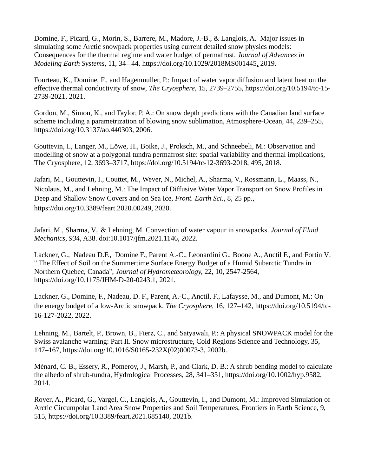Domine, F., Picard, G., Morin, S., Barrere, M., Madore, J.-B., & Langlois, A. Major issues in simulating some Arctic snowpack properties using current detailed snow physics models: Consequences for the thermal regime and water budget of permafrost. *Journal of Advances in Modeling Earth Systems*, 11, 34– 44. <https://doi.org/10.1029/2018MS001445>, 2019.

Fourteau, K., Domine, F., and Hagenmuller, P.: Impact of water vapor diffusion and latent heat on the effective thermal conductivity of snow, *The Cryosphere*, 15, 2739–2755, https://doi.org/10.5194/tc-15- 2739-2021, 2021.

Gordon, M., Simon, K., and Taylor, P. A.: On snow depth predictions with the Canadian land surface scheme including a parametrization of blowing snow sublimation, Atmosphere-Ocean, 44, 239–255, https://doi.org/10.3137/ao.440303, 2006.

Gouttevin, I., Langer, M., Löwe, H., Boike, J., Proksch, M., and Schneebeli, M.: Observation and modelling of snow at a polygonal tundra permafrost site: spatial variability and thermal implications, The Cryosphere, 12, 3693–3717, https://doi.org/10.5194/tc-12-3693-2018, 495, 2018.

Jafari, M., Gouttevin, I., Couttet, M., Wever, N., Michel, A., Sharma, V., Rossmann, L., Maass, N., Nicolaus, M., and Lehning, M.: The Impact of Diffusive Water Vapor Transport on Snow Profiles in Deep and Shallow Snow Covers and on Sea Ice, *Front. Earth Sci.*, 8, 25 pp., https://doi.org/10.3389/feart.2020.00249, 2020.

Jafari, M., Sharma, V., & Lehning, M. Convection of water vapour in snowpacks. *Journal of Fluid Mechanics, 934*, A38. doi:10.1017/jfm.2021.1146, 2022.

Lackner, G., Nadeau D.F., Domine F., Parent A.-C., Leonardini G., Boone A., Anctil F., and Fortin V. " The Effect of Soil on the Summertime Surface Energy Budget of a Humid Subarctic Tundra in Northern Quebec, Canada", *Journal of Hydrometeorology,* 22, 10, 2547-2564, <https://doi.org/10.1175/JHM-D-20-0243.1>, 2021.

Lackner, G., Domine, F., Nadeau, D. F., Parent, A.-C., Anctil, F., Lafaysse, M., and Dumont, M.: On the energy budget of a low-Arctic snowpack, *The Cryospher*e, 16, 127–142, https://doi.org/10.5194/tc-16-127-2022, 2022.

Lehning, M., Bartelt, P., Brown, B., Fierz, C., and Satyawali, P.: A physical SNOWPACK model for the Swiss avalanche warning: Part II. Snow microstructure, Cold Regions Science and Technology, 35, 147–167, https://doi.org/10.1016/S0165-232X(02)00073-3, 2002b.

Ménard, C. B., Essery, R., Pomeroy, J., Marsh, P., and Clark, D. B.: A shrub bending model to calculate the albedo of shrub-tundra, Hydrological Processes, 28, 341–351, https://doi.org/10.1002/hyp.9582, 2014.

Royer, A., Picard, G., Vargel, C., Langlois, A., Gouttevin, I., and Dumont, M.: Improved Simulation of Arctic Circumpolar Land Area Snow Properties and Soil Temperatures, Frontiers in Earth Science, 9, 515, https://doi.org/10.3389/feart.2021.685140, 2021b.